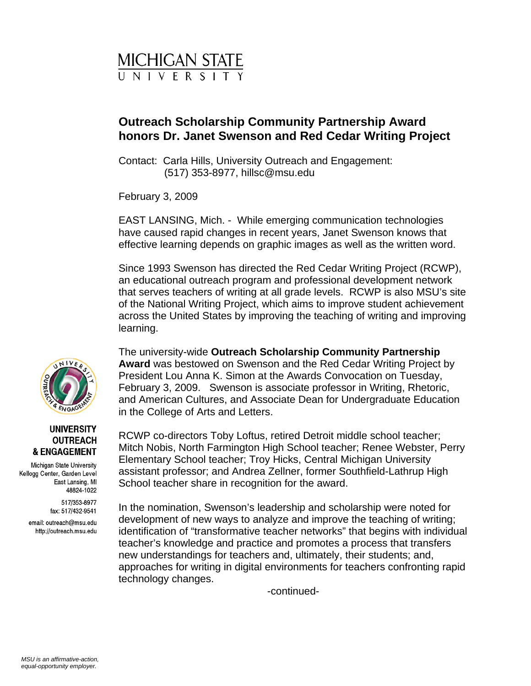

## **Outreach Scholarship Community Partnership Award honors Dr. Janet Swenson and Red Cedar Writing Project**

Contact: Carla Hills, University Outreach and Engagement: (517) 353-8977, hillsc@msu.edu

February 3, 2009

EAST LANSING, Mich. - While emerging communication technologies have caused rapid changes in recent years, Janet Swenson knows that effective learning depends on graphic images as well as the written word.

Since 1993 Swenson has directed the Red Cedar Writing Project (RCWP), an educational outreach program and professional development network that serves teachers of writing at all grade levels. RCWP is also MSU's site of the National Writing Project, which aims to improve student achievement across the United States by improving the teaching of writing and improving learning.

The university-wide **Outreach Scholarship Community Partnership Award** was bestowed on Swenson and the Red Cedar Writing Project by President Lou Anna K. Simon at the Awards Convocation on Tuesday, February 3, 2009. Swenson is associate professor in Writing, Rhetoric, and American Cultures, and Associate Dean for Undergraduate Education in the College of Arts and Letters.

RCWP co-directors Toby Loftus, retired Detroit middle school teacher; Mitch Nobis, North Farmington High School teacher; Renee Webster, Perry Elementary School teacher; Troy Hicks, Central Michigan University assistant professor; and Andrea Zellner, former Southfield-Lathrup High School teacher share in recognition for the award.

In the nomination, Swenson's leadership and scholarship were noted for development of new ways to analyze and improve the teaching of writing; identification of "transformative teacher networks" that begins with individual teacher's knowledge and practice and promotes a process that transfers new understandings for teachers and, ultimately, their students; and, approaches for writing in digital environments for teachers confronting rapid technology changes.

-continued-



## **UNIVERSITY OUTREACH & ENGAGEMENT**

Michigan State University Kellogg Center, Garden Level East Lansing, MI 48824-1022

> 517/353-8977 fax: 517/432-9541

email: outreach@msu.edu http://outreach.msu.edu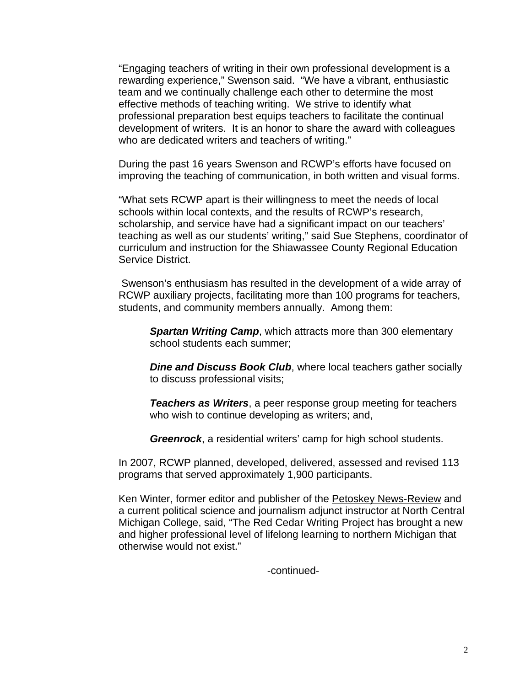"Engaging teachers of writing in their own professional development is a rewarding experience," Swenson said. "We have a vibrant, enthusiastic team and we continually challenge each other to determine the most effective methods of teaching writing. We strive to identify what professional preparation best equips teachers to facilitate the continual development of writers. It is an honor to share the award with colleagues who are dedicated writers and teachers of writing."

During the past 16 years Swenson and RCWP's efforts have focused on improving the teaching of communication, in both written and visual forms.

"What sets RCWP apart is their willingness to meet the needs of local schools within local contexts, and the results of RCWP's research, scholarship, and service have had a significant impact on our teachers' teaching as well as our students' writing," said Sue Stephens, coordinator of curriculum and instruction for the Shiawassee County Regional Education Service District.

 Swenson's enthusiasm has resulted in the development of a wide array of RCWP auxiliary projects, facilitating more than 100 programs for teachers, students, and community members annually. Among them:

*Spartan Writing Camp*, which attracts more than 300 elementary school students each summer;

*Dine and Discuss Book Club*, where local teachers gather socially to discuss professional visits;

*Teachers as Writers*, a peer response group meeting for teachers who wish to continue developing as writers; and,

*Greenrock*, a residential writers' camp for high school students.

In 2007, RCWP planned, developed, delivered, assessed and revised 113 programs that served approximately 1,900 participants.

Ken Winter, former editor and publisher of the Petoskey News-Review and a current political science and journalism adjunct instructor at North Central Michigan College, said, "The Red Cedar Writing Project has brought a new and higher professional level of lifelong learning to northern Michigan that otherwise would not exist."

-continued-